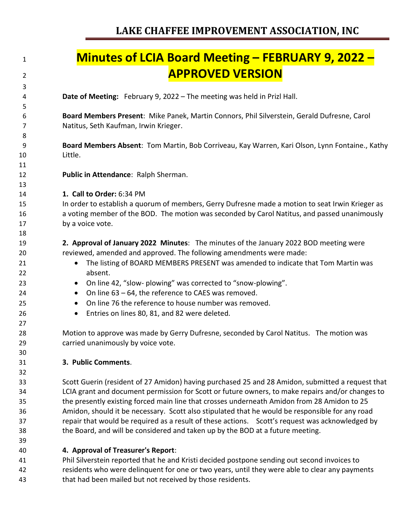## **Minutes of LCIA Board Meeting – FEBRUARY 9, 2022 – APPROVED VERSION**

**Date of Meeting:** February 9, 2022 – The meeting was held in Prizl Hall.

 **Board Members Present**: Mike Panek, Martin Connors, Phil Silverstein, Gerald Dufresne, Carol Natitus, Seth Kaufman, Irwin Krieger.

 **Board Members Absent**: Tom Martin, Bob Corriveau, Kay Warren, Kari Olson, Lynn Fontaine., Kathy Little.

- **Public in Attendance**: Ralph Sherman.
- **1. Call to Order:** 6:34 PM

 In order to establish a quorum of members, Gerry Dufresne made a motion to seat Irwin Krieger as a voting member of the BOD. The motion was seconded by Carol Natitus, and passed unanimously by a voice vote.

 **2. Approval of January 2022 Minutes**: The minutes of the January 2022 BOD meeting were reviewed, amended and approved. The following amendments were made:

- 21 The listing of BOARD MEMBERS PRESENT was amended to indicate that Tom Martin was absent.
- On line 42, "slow- plowing" was corrected to "snow-plowing".
- On line 63 64, the reference to CAES was removed.
- On line 76 the reference to house number was removed.
- Entries on lines 80, 81, and 82 were deleted*.*

 Motion to approve was made by Gerry Dufresne, seconded by Carol Natitus. The motion was carried unanimously by voice vote.

#### **3. Public Comments**.

 Scott Guerin (resident of 27 Amidon) having purchased 25 and 28 Amidon, submitted a request that LCIA grant and document permission for Scott or future owners, to make repairs and/or changes to the presently existing forced main line that crosses underneath Amidon from 28 Amidon to 25 Amidon, should it be necessary. Scott also stipulated that he would be responsible for any road repair that would be required as a result of these actions. Scott's request was acknowledged by the Board, and will be considered and taken up by the BOD at a future meeting.

**4. Approval of Treasurer's Report**:

 Phil Silverstein reported that he and Kristi decided postpone sending out second invoices to residents who were delinquent for one or two years, until they were able to clear any payments that had been mailed but not received by those residents.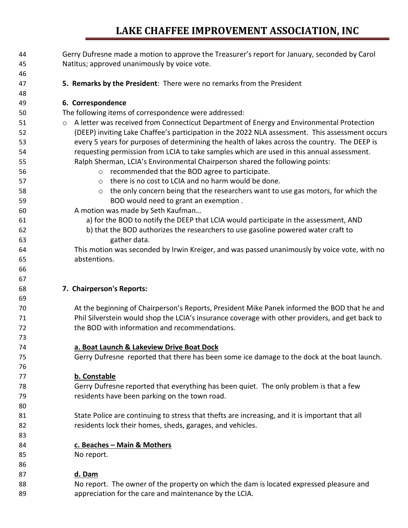| 44 | Gerry Dufresne made a motion to approve the Treasurer's report for January, seconded by Carol   |
|----|-------------------------------------------------------------------------------------------------|
| 45 | Natitus; approved unanimously by voice vote.                                                    |
| 46 |                                                                                                 |
| 47 | 5. Remarks by the President: There were no remarks from the President                           |
| 48 |                                                                                                 |
| 49 | 6. Correspondence                                                                               |
| 50 | The following items of correspondence were addressed:                                           |
| 51 | o A letter was received from Connecticut Department of Energy and Environmental Protection      |
| 52 | (DEEP) inviting Lake Chaffee's participation in the 2022 NLA assessment. This assessment occurs |
| 53 | every 5 years for purposes of determining the health of lakes across the country. The DEEP is   |
| 54 | requesting permission from LCIA to take samples which are used in this annual assessment.       |
| 55 | Ralph Sherman, LCIA's Environmental Chairperson shared the following points:                    |
| 56 | o recommended that the BOD agree to participate.                                                |
| 57 | there is no cost to LCIA and no harm would be done.<br>$\circ$                                  |
| 58 | the only concern being that the researchers want to use gas motors, for which the<br>$\circ$    |
| 59 | BOD would need to grant an exemption.                                                           |
| 60 | A motion was made by Seth Kaufman                                                               |
| 61 | a) for the BOD to notify the DEEP that LCIA would participate in the assessment, AND            |
| 62 | b) that the BOD authorizes the researchers to use gasoline powered water craft to               |
| 63 | gather data.                                                                                    |
| 64 | This motion was seconded by Irwin Kreiger, and was passed unanimously by voice vote, with no    |
| 65 | abstentions.                                                                                    |
| 66 |                                                                                                 |
| 67 |                                                                                                 |
| 68 | 7. Chairperson's Reports:                                                                       |
| 69 |                                                                                                 |
| 70 | At the beginning of Chairperson's Reports, President Mike Panek informed the BOD that he and    |
| 71 | Phil Silverstein would shop the LCIA's insurance coverage with other providers, and get back to |
| 72 | the BOD with information and recommendations.                                                   |
| 73 |                                                                                                 |
| 74 | a. Boat Launch & Lakeview Drive Boat Dock                                                       |
| 75 | Gerry Dufresne reported that there has been some ice damage to the dock at the boat launch.     |
| 76 |                                                                                                 |
| 77 | b. Constable                                                                                    |
| 78 | Gerry Dufresne reported that everything has been quiet. The only problem is that a few          |
| 79 | residents have been parking on the town road.                                                   |
| 80 |                                                                                                 |
| 81 | State Police are continuing to stress that thefts are increasing, and it is important that all  |
| 82 | residents lock their homes, sheds, garages, and vehicles.                                       |
| 83 |                                                                                                 |
| 84 | c. Beaches - Main & Mothers                                                                     |
| 85 | No report.                                                                                      |
| 86 |                                                                                                 |
| 87 | d. Dam                                                                                          |
| 88 | No report. The owner of the property on which the dam is located expressed pleasure and         |
| 89 | appreciation for the care and maintenance by the LCIA.                                          |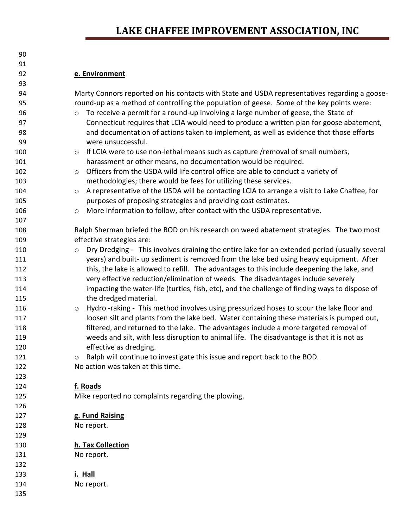| 93         |                                                                                                          |
|------------|----------------------------------------------------------------------------------------------------------|
| 94         | Marty Connors reported on his contacts with State and USDA representatives regarding a goose-            |
| 95         | round-up as a method of controlling the population of geese. Some of the key points were:                |
| 96         | To receive a permit for a round-up involving a large number of geese, the State of<br>$\circ$            |
| 97         | Connecticut requires that LCIA would need to produce a written plan for goose abatement,                 |
| 98         | and documentation of actions taken to implement, as well as evidence that those efforts                  |
| 99         | were unsuccessful.                                                                                       |
| 100        | If LCIA were to use non-lethal means such as capture /removal of small numbers,<br>$\circ$               |
| 101        | harassment or other means, no documentation would be required.                                           |
| 102        | Officers from the USDA wild life control office are able to conduct a variety of<br>$\circ$              |
| 103        | methodologies; there would be fees for utilizing these services.                                         |
| 104        | A representative of the USDA will be contacting LCIA to arrange a visit to Lake Chaffee, for<br>$\circ$  |
| 105        | purposes of proposing strategies and providing cost estimates.                                           |
| 106        | More information to follow, after contact with the USDA representative.<br>$\circ$                       |
| 107        |                                                                                                          |
| 108        | Ralph Sherman briefed the BOD on his research on weed abatement strategies. The two most                 |
| 109        | effective strategies are:                                                                                |
| 110        | Dry Dredging - This involves draining the entire lake for an extended period (usually several<br>$\circ$ |
| 111        | years) and built- up sediment is removed from the lake bed using heavy equipment. After                  |
| 112        | this, the lake is allowed to refill. The advantages to this include deepening the lake, and              |
| 113        | very effective reduction/elimination of weeds. The disadvantages include severely                        |
| 114        | impacting the water-life (turtles, fish, etc), and the challenge of finding ways to dispose of           |
| 115        | the dredged material.                                                                                    |
| 116        | Hydro-raking - This method involves using pressurized hoses to scour the lake floor and<br>$\circ$       |
| 117        | loosen silt and plants from the lake bed. Water containing these materials is pumped out,                |
| 118        | filtered, and returned to the lake. The advantages include a more targeted removal of                    |
| 119        | weeds and silt, with less disruption to animal life. The disadvantage is that it is not as               |
| 120        | effective as dredging.                                                                                   |
| 121        | Ralph will continue to investigate this issue and report back to the BOD.<br>$\circ$                     |
| 122        | No action was taken at this time.                                                                        |
| 123        |                                                                                                          |
| 124        | f. Roads                                                                                                 |
| 125        | Mike reported no complaints regarding the plowing.                                                       |
| 126        |                                                                                                          |
| 127<br>128 | g. Fund Raising                                                                                          |
| 129        | No report.                                                                                               |
| 130        | h. Tax Collection                                                                                        |
| 131        | No report.                                                                                               |
| 132        |                                                                                                          |
| 133        | i. Hall                                                                                                  |
| 134        | No report.                                                                                               |
| 135        |                                                                                                          |
|            |                                                                                                          |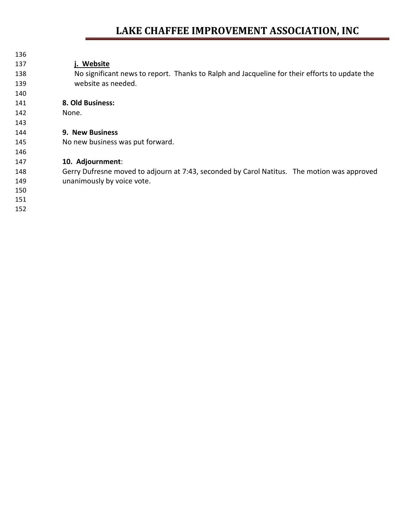| 136 |                                                                                               |
|-----|-----------------------------------------------------------------------------------------------|
| 137 | j. Website                                                                                    |
| 138 | No significant news to report. Thanks to Ralph and Jacqueline for their efforts to update the |
| 139 | website as needed.                                                                            |
| 140 |                                                                                               |
| 141 | 8. Old Business:                                                                              |
| 142 | None.                                                                                         |
| 143 |                                                                                               |
| 144 | <b>9. New Business</b>                                                                        |
| 145 | No new business was put forward.                                                              |
| 146 |                                                                                               |
| 147 | 10. Adjournment:                                                                              |
| 148 | Gerry Dufresne moved to adjourn at 7:43, seconded by Carol Natitus. The motion was approved   |
| 149 | unanimously by voice vote.                                                                    |
| 150 |                                                                                               |
| 151 |                                                                                               |
| 152 |                                                                                               |
|     |                                                                                               |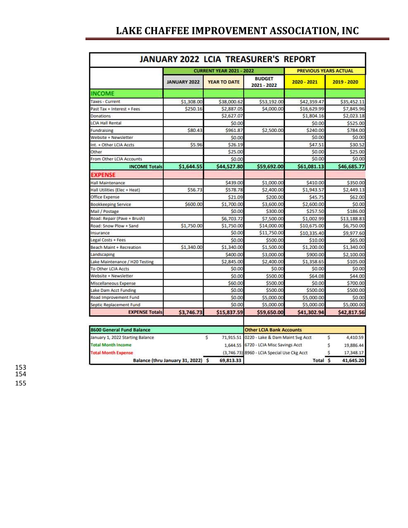|                                  |                                    |                                             | <b>JANUARY 2022 LCIA TREASURER'S REPORT</b> |                              |           |             |
|----------------------------------|------------------------------------|---------------------------------------------|---------------------------------------------|------------------------------|-----------|-------------|
|                                  |                                    | <b>CURRENT YEAR 2021 - 2022</b>             |                                             | <b>PREVIOUS YEARS ACTUAL</b> |           |             |
|                                  | <b>JANUARY 2022</b>                | <b>YEAR TO DATE</b>                         | <b>BUDGET</b><br>2021 - 2022                | 2020 - 2021                  |           | 2019 - 2020 |
| <b>INCOME</b>                    |                                    |                                             |                                             |                              |           |             |
| Taxes - Current                  | \$1,308.00                         | \$38,000.62                                 | \$53,192.00                                 | \$42,359.47                  |           | \$35,452.11 |
| Past Tax + Interest + Fees       | \$250.16                           | \$2,887.05                                  | \$4,000.00                                  | \$16,629.99                  |           | \$7,845.96  |
| Donations                        |                                    | \$2,627.07                                  |                                             | \$1,804.16                   |           | \$2,023.18  |
| LCIA Hall Rental                 |                                    | \$0.00                                      |                                             | \$0.00                       |           | \$525.00    |
| Fundraising                      | \$80.43                            | \$961.87                                    | \$2,500.00                                  | \$240.00                     |           | \$784.00    |
| Website + Newsletter             |                                    | \$0.00                                      |                                             | \$0.00                       |           | \$0.00      |
| Int. + Other LCIA Accts          | \$5.96                             | \$26.19                                     |                                             | \$47.51                      |           | \$30.52     |
| Other                            |                                    | \$25.00                                     |                                             | \$0.00                       |           | \$25.00     |
| From Other LCIA Accounts         |                                    | \$0.00                                      |                                             | \$0.00                       |           | \$0.00      |
| <b>INCOME Totals</b>             | \$1,644.55                         | \$44,527.80                                 | \$59,692.00                                 | \$61,081.13                  |           | \$46,685.77 |
| <b>EXPENSE</b>                   |                                    |                                             |                                             |                              |           |             |
| Hall Maintenance                 |                                    | \$439.00                                    | \$1,000.00                                  | \$410.00                     |           | \$350.00    |
| Hall Utilities (Elec + Heat)     | \$56.73                            | \$578.78                                    | \$2,400.00                                  | \$1,943.57                   |           | \$2,449.13  |
| Office Expense                   |                                    | \$21.09                                     | \$200.00                                    | \$45.75                      |           | \$62.00     |
| Bookkeeping Service              | \$600.00                           | \$1,700.00                                  | \$3,600.00                                  | \$2,600.00                   |           | \$0.00      |
| Mail / Postage                   |                                    | \$0.00                                      | \$300.00                                    | \$257.50                     |           | \$186.00    |
| Road: Repair (Pave + Brush)      |                                    | \$6,703.72                                  | \$7,500.00                                  | \$1,002.99                   |           | \$13,188.83 |
| Road: Snow Plow + Sand           | \$1,750.00                         | \$1,750.00                                  | \$14,000.00                                 | \$10,675.00                  |           | \$6,750.00  |
| Insurance                        |                                    | \$0.00                                      | \$11,750.00                                 | \$10,335.40                  |           | \$9,977.60  |
| Legal Costs + Fees               |                                    | \$0.00                                      | \$500.00                                    | \$10.00                      |           | \$65.00     |
| Beach Maint + Recreation         | \$1,340.00                         | \$1,340.00                                  | \$1,500.00                                  | \$1,200.00                   |           | \$1,340.00  |
| Landscaping                      |                                    | \$400.00                                    | \$3,000.00                                  | \$900.00                     |           | \$2,100.00  |
| Lake Maintenance / H20 Testing   |                                    | \$2,845.00                                  | \$2,400.00                                  | \$1,358.65                   |           | \$105.00    |
| To Other LCIA Accts              |                                    | \$0.00                                      | \$0.00                                      | \$0.00                       |           | \$0.00      |
| Website + Newsletter             |                                    | \$0.00                                      | \$500.00                                    | \$64.08                      |           | \$44.00     |
| Miscellaneous Expense            |                                    | \$60.00                                     | \$500.00                                    | \$0.00                       |           | \$700.00    |
| Lake Dam Acct Funding            |                                    | \$0.00                                      | \$500.00                                    | \$500.00                     |           | \$500.00    |
| Road Improvement Fund            |                                    | \$0.00                                      | \$5,000.00                                  | \$5,000.00                   |           | \$0.00      |
| Septic Replacement Fund          |                                    | \$0.00                                      | \$5,000.00                                  | \$5,000.00                   |           | \$5,000.00  |
| <b>EXPENSE Totals</b>            | \$3,746.73                         | \$15,837.59                                 | \$59,650.00                                 | \$41,302.94                  |           | \$42,817.56 |
|                                  |                                    |                                             |                                             |                              |           |             |
| 8600 General Fund Balance        |                                    |                                             | <b>Other LCIA Bank Accounts</b>             |                              |           |             |
| January 1, 2022 Starting Balance |                                    | Ś                                           | 71,915.51 0220 - Lake & Dam Maint Svg Acct  |                              | Š         | 4,410.59    |
| <b>Total Month Income</b>        |                                    | 1,644.55                                    | 6720 - LCIA Misc Savings Acct               |                              | s         | 19,886.44   |
| <b>Total Month Expense</b>       |                                    | (3,746.73) 8960 - LCIA Special Use Ckg Acct |                                             |                              | 17,348.17 |             |
|                                  | Balance (thru January 31, 2022) \$ | 69,813.33                                   |                                             | Total \$                     |           | 41,645.20   |